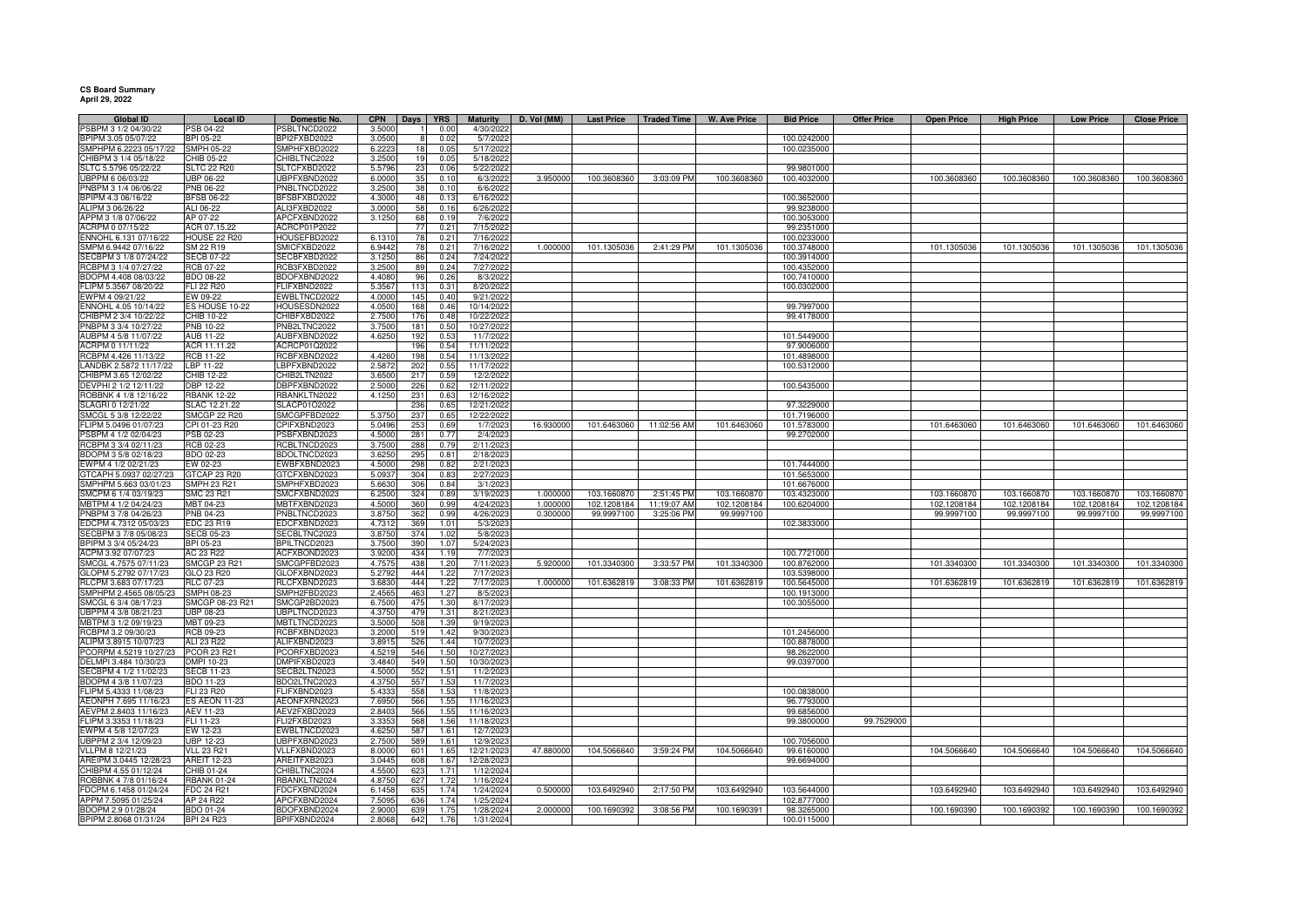## **CS Board Summary April 29, 2022**

| <b>Global ID</b>       | <b>Local ID</b>      | Domestic No.        | <b>CPN</b> | <b>Days</b> | <b>YRS</b>       | Maturity   | D. Vol (MM) | <b>Last Price</b> | <b>Traded Time</b> | W. Ave Price | <b>Bid Price</b> | <b>Offer Price</b> | <b>Open Price</b> | <b>High Price</b> | <b>Low Price</b> | <b>Close Price</b> |
|------------------------|----------------------|---------------------|------------|-------------|------------------|------------|-------------|-------------------|--------------------|--------------|------------------|--------------------|-------------------|-------------------|------------------|--------------------|
| PSBPM 3 1/2 04/30/22   | <b>SB 04-22</b>      | SBLTNCD2022         | 3,5000     |             | 0.00             | 4/30/2022  |             |                   |                    |              |                  |                    |                   |                   |                  |                    |
| 3PIPM 3.05 05/07/22    | BPI 05-22            | BPI2FXBD2022        | 3.050      |             | 0.02             | 5/7/2022   |             |                   |                    |              | 100.0242000      |                    |                   |                   |                  |                    |
| SMPHPM 6.2223 05/17/22 | <b>SMPH 05-22</b>    | SMPHFXBD2022        | 6.222      | 18          | 0.05             | 5/17/2022  |             |                   |                    |              | 100.0235000      |                    |                   |                   |                  |                    |
| CHIBPM 3 1/4 05/18/22  | CHIB 05-22           | CHIBLTNC2022        | 3.2500     | 19          | 0.05             | 5/18/2022  |             |                   |                    |              |                  |                    |                   |                   |                  |                    |
| SLTC 5.5796 05/22/22   | <b>SLTC 22 R20</b>   | SLTCFXBD2022        | 5.5796     | 23          | 0.06             | 5/22/2022  |             |                   |                    |              | 99.9801000       |                    |                   |                   |                  |                    |
| UBPPM 6 06/03/22       | UBP 06-22            | UBPFXBND2022        | 6.000      | 35          | 0.1(             | 6/3/2022   | 3.950000    | 100.3608360       | 3:03:09 PM         | 100.3608360  | 100.4032000      |                    | 100.3608360       | 100.3608360       | 100.3608360      | 100.3608360        |
| PNBPM 3 1/4 06/06/22   | PNB 06-22            | PNBLTNCD2022        | 3.250      | 38          | 0.10             | 6/6/2022   |             |                   |                    |              |                  |                    |                   |                   |                  |                    |
| BPIPM 4.3 06/16/22     | <b>BFSB 06-22</b>    | BFSBFXBD2022        | 4.300      | 48          | 0.1              | 6/16/2022  |             |                   |                    |              | 100.3652000      |                    |                   |                   |                  |                    |
| ALIPM 3 06/26/22       | ALI 06-22            | ALI3FXBD2022        | 3.000(     | 58          | 0.16             |            |             |                   |                    |              | 99.9238000       |                    |                   |                   |                  |                    |
|                        |                      |                     |            |             |                  | 6/26/2022  |             |                   |                    |              |                  |                    |                   |                   |                  |                    |
| APPM 3 1/8 07/06/22    | AP 07-22             | APCFXBND2022        | 3.1250     | 68          | 0.19             | 7/6/2022   |             |                   |                    |              | 100.3053000      |                    |                   |                   |                  |                    |
| ACRPM 0 07/15/22       | ACR 07.15.22         | ACRCP01P2022        |            | 77          | $0.2^{\circ}$    | 7/15/2022  |             |                   |                    |              | 99.2351000       |                    |                   |                   |                  |                    |
| ENNOHL 6.131 07/16/22  | HOUSE 22 R20         | HOUSEFBD2022        | 6.131      | 78          | $0.2^{\circ}$    | 7/16/202   |             |                   |                    |              | 100.0233000      |                    |                   |                   |                  |                    |
| SMPM 6.9442 07/16/22   | SM 22 R19            | SMICFXBD2022        | 6.9442     | 78          | 0.21             | 7/16/2022  | 1.000000    | 101.1305036       | 2:41:29 PM         | 101.1305036  | 100.3748000      |                    | 101.1305036       | 101.1305036       | 101.1305036      | 101.1305036        |
| ECBPM 3 1/8 07/24/22   | <b>SECB 07-22</b>    | SECBFXBD2022        | 3.125      | 86          | 0.24             | 7/24/2022  |             |                   |                    |              | 100.3914000      |                    |                   |                   |                  |                    |
| RCBPM 3 1/4 07/27/22   | RCB 07-22            | RCB3FXBD2022        | 3.250      | 89          | 0.24             | 7/27/2022  |             |                   |                    |              | 100.4352000      |                    |                   |                   |                  |                    |
| BDOPM 4.408 08/03/22   | BDO 08-22            | BDOFXBND2022        | 4.4080     | 96          | 0.26             | 8/3/2022   |             |                   |                    |              | 100.7410000      |                    |                   |                   |                  |                    |
| FLIPM 5.3567 08/20/22  | FLI 22 R20           | FLIFXBND2022        | 5.356      | 113         | 0.31             | 8/20/2022  |             |                   |                    |              | 100.0302000      |                    |                   |                   |                  |                    |
| EWPM 4 09/21/22        | EW 09-22             | EWBLTNCD2022        | 4.000      | 145         | 0.40             | 9/21/2022  |             |                   |                    |              |                  |                    |                   |                   |                  |                    |
| ENNOHL 4.05 10/14/22   | ES HOUSE 10-22       | HOUSESDN2022        | 4.050      | 168         | 0.46             | 10/14/2022 |             |                   |                    |              | 99.7997000       |                    |                   |                   |                  |                    |
| CHIBPM 2 3/4 10/22/22  | CHIB 10-22           | CHIBFXBD2022        | 2.750      | 176         | 0.48             | 10/22/2022 |             |                   |                    |              | 99.4178000       |                    |                   |                   |                  |                    |
|                        |                      |                     |            |             |                  |            |             |                   |                    |              |                  |                    |                   |                   |                  |                    |
| PNBPM 3 3/4 10/27/22   | PNB 10-22            | PNB2LTNC2022        | 3.750      | 181         | 0.50             | 10/27/2022 |             |                   |                    |              |                  |                    |                   |                   |                  |                    |
| AUBPM 4 5/8 11/07/22   | AUB 11-22            | AUBFXBND2022        | 4.625      | 192         | $0.5^{\circ}$    | 11/7/2022  |             |                   |                    |              | 101.5449000      |                    |                   |                   |                  |                    |
| ACRPM 0 11/11/22       | ACR 11.11.22         | ACRCP01Q2022        |            | 196         | 0.54             | 11/11/2022 |             |                   |                    |              | 97.9006000       |                    |                   |                   |                  |                    |
| RCBPM 4.426 11/13/22   | RCB 11-22            | RCBFXBND2022        | 4.426      | 198         | 0.54             | 11/13/2022 |             |                   |                    |              | 101.4898000      |                    |                   |                   |                  |                    |
| LANDBK 2.5872 11/17/22 | LBP 11-22            | LBPFXBND2022        | 2.587      | 202         | 0.55             | 11/17/2022 |             |                   |                    |              | 100.5312000      |                    |                   |                   |                  |                    |
| CHIBPM 3.65 12/02/22   | CHIB 12-22           | CHIB2LTN2022        | 3.650      | 217         | 0.59             | 12/2/2022  |             |                   |                    |              |                  |                    |                   |                   |                  |                    |
| DEVPHI 2 1/2 12/11/22  | DBP 12-22            | DBPFXBND2022        | 2.5000     | 226         | 0.62             | 12/11/2022 |             |                   |                    |              | 100.5435000      |                    |                   |                   |                  |                    |
| ROBBNK 4 1/8 12/16/22  | <b>RBANK 12-22</b>   | RBANKLTN2022        | 4.125      | 231         | 0.63             | 12/16/2022 |             |                   |                    |              |                  |                    |                   |                   |                  |                    |
| SLAGRI 0 12/21/22      | SLAC 12.21.22        | SLACP01O2022        |            | 236         | 0.65             | 12/21/2022 |             |                   |                    |              | 97.3229000       |                    |                   |                   |                  |                    |
| SMCGL 5 3/8 12/22/22   | <b>SMCGP 22 R20</b>  | SMCGPFBD2022        | 5.375      | 237         | 0.65             | 12/22/2022 |             |                   |                    |              | 101.7196000      |                    |                   |                   |                  |                    |
| FLIPM 5.0496 01/07/23  | CPI 01-23 R20        | CPIFXBND2023        | 5.049      | 253         | 0.69             | 1/7/2023   | 16.930000   | 101.6463060       | 11:02:56 AM        | 101.6463060  | 101.5783000      |                    | 101.6463060       | 101.6463060       | 101.6463060      | 101.6463060        |
| PSBPM 4 1/2 02/04/23   | PSB 02-23            | PSBFXBND2023        | 4.500      | 281         | 0.7              | 2/4/2023   |             |                   |                    |              | 99.2702000       |                    |                   |                   |                  |                    |
|                        |                      |                     |            |             |                  |            |             |                   |                    |              |                  |                    |                   |                   |                  |                    |
| RCBPM 3 3/4 02/11/23   | RCB 02-23            | RCBLTNCD2023        | 3.750      | 288         | 0.79             | 2/11/2023  |             |                   |                    |              |                  |                    |                   |                   |                  |                    |
| BDOPM 3 5/8 02/18/23   | BDO 02-23            | BDOLTNCD2023        | 3.625      | 295         | 0.8              | 2/18/2023  |             |                   |                    |              |                  |                    |                   |                   |                  |                    |
| EWPM 4 1/2 02/21/23    | EW 02-23             | EWBFXBND2023        | 4.5000     | 298         | 0.82             | 2/21/2023  |             |                   |                    |              | 101.7444000      |                    |                   |                   |                  |                    |
| GTCAPH 5.0937 02/27/23 | GTCAP 23 R20         | GTCFXBND2023        | 5.093      | 304         | 0.83             | 2/27/202   |             |                   |                    |              | 101.5653000      |                    |                   |                   |                  |                    |
| SMPHPM 5.663 03/01/23  | SMPH 23 R21          | SMPHFXBD2023        | 5.663      | 306         | 0.84             | 3/1/2023   |             |                   |                    |              | 101.6676000      |                    |                   |                   |                  |                    |
| SMCPM 6 1/4 03/19/23   | SMC 23 R21           | SMCFXBND2023        | 6.250      | 324         | 0.89             | 3/19/202   | 1.00000     | 103.1660870       | 2:51:45 PM         | 103.1660870  | 103.4323000      |                    | 103.1660870       | 103.1660870       | 103.1660870      | 103.1660870        |
| MBTPM 4 1/2 04/24/23   | MBT 04-23            | MBTFXBND2023        | 4.500      | 360         | 0.99             | 4/24/2023  | 1.00000     | 102.1208184       | 11:19:07 AM        | 102.1208184  | 100.6204000      |                    | 102.1208184       | 102.1208184       | 102.1208184      | 102.1208184        |
| PNBPM 3 7/8 04/26/23   | PNB 04-23            | PNBLTNCD2023        | 3.875      | 362         | 0.99             | 4/26/2023  | 0.300000    | 99.9997100        | 3:25:06 PM         | 99.9997100   |                  |                    | 99.9997100        | 99.9997100        | 99.9997100       | 99.9997100         |
| EDCPM 4.7312 05/03/23  | EDC 23 R19           | EDCFXBND2023        | 4.731      | 369         | 1.01             | 5/3/2023   |             |                   |                    |              | 102.3833000      |                    |                   |                   |                  |                    |
| SECBPM 3 7/8 05/08/23  | <b>SECB 05-23</b>    | SECBLTNC2023        | 3.875      | 374         | 1.02             | 5/8/2023   |             |                   |                    |              |                  |                    |                   |                   |                  |                    |
| BPIPM 3 3/4 05/24/23   | BPI 05-23            | BPILTNCD2023        | 3.750      | 390         | 1.07             | 5/24/2023  |             |                   |                    |              |                  |                    |                   |                   |                  |                    |
|                        |                      |                     |            |             |                  |            |             |                   |                    |              |                  |                    |                   |                   |                  |                    |
| ACPM 3.92 07/07/23     | AC 23 R22            | ACFXBOND2023        | 3.920      | 434         | 1.19             | 7/7/2023   |             |                   |                    |              | 100.7721000      |                    |                   |                   |                  |                    |
| SMCGL 4.7575 07/11/23  | SMCGP 23 R21         | SMCGPFBD2023        | 4.757      | 438         | 1.20             | 7/11/2023  | 5.920000    | 101.3340300       | 3:33:57 PM         | 101.3340300  | 100.8762000      |                    | 101.3340300       | 101.3340300       | 101.3340300      | 101.3340300        |
| GLOPM 5.2792 07/17/23  | GLO 23 R20           | GLOFXBND2023        | 5.279      | 444         | 1.2i             | 7/17/2023  |             |                   |                    |              | 103.5398000      |                    |                   |                   |                  |                    |
| RLCPM 3.683 07/17/23   | <b>RLC 07-23</b>     | RLCFXBND2023        | 3.683      | 444         | 1.22             | 7/17/2023  | 1.00000     | 101.6362819       | 3:08:33 PM         | 101.6362819  | 100.5645000      |                    | 101.6362819       | 101.6362819       | 101.6362819      | 101.6362819        |
| SMPHPM 2.4565 08/05/23 | <b>SMPH 08-23</b>    | SMPH2FBD2023        | 2.456      | 463         | 1.27             | 8/5/2023   |             |                   |                    |              | 100.1913000      |                    |                   |                   |                  |                    |
| SMCGL 6 3/4 08/17/23   | SMCGP 08-23 R21      | SMCGP2BD2023        | 6.750      | 475         | 1.30             | 8/17/2023  |             |                   |                    |              | 100.3055000      |                    |                   |                   |                  |                    |
| UBPPM 4 3/8 08/21/23   | UBP 08-23            | <b>JBPLTNCD2023</b> | 4.375      | 479         | 1.31             | 8/21/2023  |             |                   |                    |              |                  |                    |                   |                   |                  |                    |
| MBTPM 3 1/2 09/19/23   | MBT 09-23            | MBTLTNCD2023        | 3.500      | 508         | 1.39             | 9/19/202   |             |                   |                    |              |                  |                    |                   |                   |                  |                    |
| RCBPM 3.2 09/30/23     | RCB 09-23            | RCBFXBND2023        | 3.200      | 519         | 1.42             | 9/30/2023  |             |                   |                    |              | 101.2456000      |                    |                   |                   |                  |                    |
| ALIPM 3.8915 10/07/23  | ALI 23 R22           | ALIFXBND2023        | 3.891      | 526         | 1.44             | 10/7/2023  |             |                   |                    |              | 100.8878000      |                    |                   |                   |                  |                    |
| PCORPM 4.5219 10/27/23 | PCOR 23 R21          | PCORFXBD2023        | 4.521      | 546         | 1.50             | 10/27/2023 |             |                   |                    |              | 98.2622000       |                    |                   |                   |                  |                    |
| DELMPI 3.484 10/30/23  | DMPI 10-23           | DMPIFXBD2023        | 3.4840     | 549         | 1.50             | 10/30/2023 |             |                   |                    |              | 99.0397000       |                    |                   |                   |                  |                    |
| SECBPM 4 1/2 11/02/23  | <b>SECB 11-23</b>    | SECB2LTN2023        | 4.500      | 552         | 1.51             | 11/2/2023  |             |                   |                    |              |                  |                    |                   |                   |                  |                    |
| BDOPM 4 3/8 11/07/23   | BDO 11-23            | BDO2LTNC2023        | 4.375      | 557         | 1.5 <sub>i</sub> | 11/7/2023  |             |                   |                    |              |                  |                    |                   |                   |                  |                    |
|                        |                      |                     |            |             |                  |            |             |                   |                    |              |                  |                    |                   |                   |                  |                    |
| FLIPM 5.4333 11/08/23  | FLI 23 R20           | FLIFXBND2023        | 5.433      | 558         | 1.53             | 11/8/2023  |             |                   |                    |              | 100.0838000      |                    |                   |                   |                  |                    |
| AEONPH 7.695 11/16/23  | <b>ES AEON 11-23</b> | AEONFXRN2023        | 7.695      | 566         | 1.55             | 11/16/2023 |             |                   |                    |              | 96.7793000       |                    |                   |                   |                  |                    |
| AEVPM 2.8403 11/16/23  | AEV 11-23            | AEV2FXBD2023        | 2.840      | 566         | 1.55             | 11/16/2023 |             |                   |                    |              | 99.6856000       |                    |                   |                   |                  |                    |
| FLIPM 3.3353 11/18/23  | FLI 11-23            | FLI2FXBD2023        | 3.3353     | 568         | 1.56             | 11/18/2023 |             |                   |                    |              | 99.3800000       | 99.7529000         |                   |                   |                  |                    |
| EWPM 4 5/8 12/07/23    | EW 12-23             | EWBLTNCD2023        | 4.625      | 587         | 1.61             | 12/7/202   |             |                   |                    |              |                  |                    |                   |                   |                  |                    |
| JBPPM 2 3/4 12/09/23   | UBP 12-23            | JBPFXBND2023        | 2.750      | 589         | 1.61             | 12/9/202   |             |                   |                    |              | 100.7056000      |                    |                   |                   |                  |                    |
| VLLPM 8 12/21/23       | <b>VLL 23 R21</b>    | VLLFXBND2023        | 8.000      | 601         | 1.65             | 12/21/2023 | 47.880000   | 104.5066640       | 3:59:24 PM         | 104.5066640  | 99.6160000       |                    | 104.5066640       | 104.5066640       | 104.5066640      | 104.5066640        |
| AREIPM 3.0445 12/28/23 | <b>AREIT 12-23</b>   | AREITFXB2023        | 3.044      | 608         | 1.67             | 12/28/2023 |             |                   |                    |              | 99.6694000       |                    |                   |                   |                  |                    |
| CHIBPM 4.55 01/12/24   | CHIB 01-24           | CHIBLTNC2024        | 4.550      | 623         | 1.71             | 1/12/2024  |             |                   |                    |              |                  |                    |                   |                   |                  |                    |
| ROBBNK 4 7/8 01/16/24  | <b>RBANK 01-24</b>   | RBANKLTN2024        | 4.8750     | 627         | 1.72             | 1/16/2024  |             |                   |                    |              |                  |                    |                   |                   |                  |                    |
|                        |                      |                     |            |             |                  |            | 0.500000    | 103.6492940       |                    | 103.6492940  |                  |                    |                   |                   |                  |                    |
| FDCPM 6.1458 01/24/24  | FDC 24 R21           | FDCFXBND2024        | 6.145      | 635         | 1.74             | 1/24/2024  |             |                   | 2:17:50 PM         |              | 103.5644000      |                    | 103.6492940       | 103.6492940       | 103.6492940      | 103.6492940        |
| APPM 7.5095 01/25/24   | AP 24 R22            | APCFXBND2024        | 7.509      | 636         | 1.7 <sub>4</sub> | 1/25/2024  |             |                   |                    |              | 102.8777000      |                    |                   |                   |                  |                    |
| BDOPM 2.9 01/28/24     | BDO 01-24            | BDOFXBND2024        | 2.900      | 639         | 1.75             | 1/28/2024  | 2.00000     | 100.1690392       | 3:08:56 PM         | 100.1690391  | 98.3265000       |                    | 100.1690390       | 100.1690392       | 100.1690390      | 100.1690392        |
| BPIPM 2.8068 01/31/24  | <b>BPI 24 R23</b>    | BPIFXBND2024        | 2.8068     | 642         | 1.76             | 1/31/2024  |             |                   |                    |              | 100.0115000      |                    |                   |                   |                  |                    |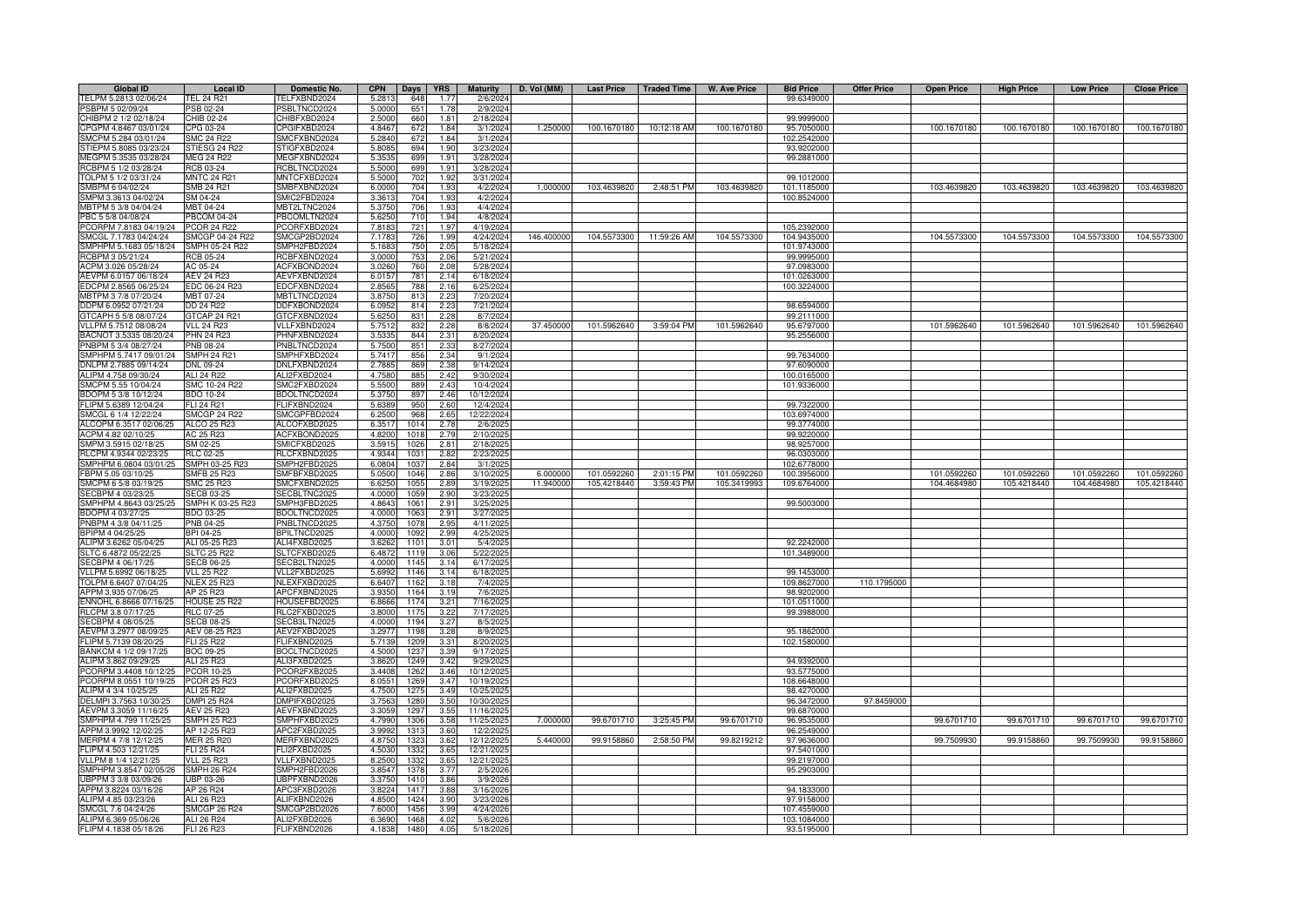| <b>Global ID</b>       | <b>Local ID</b>     | Domestic No.        | <b>CPN</b> | Days | <b>YRS</b> | <b>Maturity</b> | D. Vol (MM) | <b>Last Price</b> | <b>Traded Time</b> | <b>W. Ave Price</b> | <b>Bid Price</b> | <b>Offer Price</b> | <b>Open Price</b> | <b>High Price</b> | <b>Low Price</b> | <b>Close Price</b> |
|------------------------|---------------------|---------------------|------------|------|------------|-----------------|-------------|-------------------|--------------------|---------------------|------------------|--------------------|-------------------|-------------------|------------------|--------------------|
| TELPM 5.2813 02/06/24  | <b>TEL 24 R21</b>   | FELFXBND2024        | 5.2813     | 648  | 1.77       | 2/6/2024        |             |                   |                    |                     | 99.6349000       |                    |                   |                   |                  |                    |
| PSBPM 5 02/09/24       | PSB 02-24           | PSBLTNCD2024        | 5.0000     | 651  | 1.78       | 2/9/2024        |             |                   |                    |                     |                  |                    |                   |                   |                  |                    |
| CHIBPM 2 1/2 02/18/24  | CHIB 02-24          | CHIBFXBD2024        | 2.5000     | 660  | 1.81       | 2/18/2024       |             |                   |                    |                     | 99.9999000       |                    |                   |                   |                  |                    |
| CPGPM 4.8467 03/01/24  | CPG 03-24           | CPGIFXBD2024        | 4.8467     | 672  | 1.84       | 3/1/2024        | 1.250000    | 100.1670180       | 10:12:18 AM        | 100.1670180         | 95.7050000       |                    | 100.1670180       | 100.1670180       | 100.1670180      | 100.1670180        |
| SMCPM 5.284 03/01/24   | <b>SMC 24 R22</b>   | SMCFXBND2024        | 5.284      | 672  | 1.84       | 3/1/2024        |             |                   |                    |                     | 102.2542000      |                    |                   |                   |                  |                    |
| STIEPM 5.8085 03/23/24 | STIESG 24 R22       | STIGFXBD2024        | 5.808      | 694  | 1.90       | 3/23/2024       |             |                   |                    |                     | 93.9202000       |                    |                   |                   |                  |                    |
| MEGPM 5.3535 03/28/24  | <b>MEG 24 R22</b>   | MEGFXBND2024        | 5.353      | 699  | 1.91       | 3/28/2024       |             |                   |                    |                     | 99.2881000       |                    |                   |                   |                  |                    |
| RCBPM 5 1/2 03/28/24   | RCB 03-24           | RCBLTNCD2024        | 5.5000     | 699  | 1.91       | 3/28/2024       |             |                   |                    |                     |                  |                    |                   |                   |                  |                    |
| TOLPM 5 1/2 03/31/24   | <b>MNTC 24 R21</b>  | MNTCFXBD2024        | 5.500      | 702  | 1.92       | 3/31/2024       |             |                   |                    |                     | 99.1012000       |                    |                   |                   |                  |                    |
| SMBPM 6 04/02/24       | <b>SMB 24 R21</b>   | SMBFXBND2024        | 6.0000     | 704  | 1.93       | 4/2/2024        | 1.000000    | 103.4639820       | 2:48:51 PM         | 103.4639820         | 101.1185000      |                    | 103.4639820       | 103.4639820       | 103.4639820      | 103.4639820        |
| SMPM 3.3613 04/02/24   | SM 04-24            | SMIC2FBD2024        | 3.361      | 704  | 1.93       | 4/2/202         |             |                   |                    |                     | 100.8524000      |                    |                   |                   |                  |                    |
| MBTPM 5 3/8 04/04/24   | MBT 04-24           | MBT2LTNC2024        | 5.375      | 706  | 1.93       | 4/4/202         |             |                   |                    |                     |                  |                    |                   |                   |                  |                    |
| PBC 5 5/8 04/08/24     | <b>PBCOM 04-24</b>  | PBCOMLTN2024        | 5.625      | 710  | 1.94       | 4/8/202         |             |                   |                    |                     |                  |                    |                   |                   |                  |                    |
| PCORPM 7.8183 04/19/24 | <b>PCOR 24 R22</b>  | PCORFXBD2024        | 7.818      | 721  | 1.97       | 4/19/2024       |             |                   |                    |                     | 105.2392000      |                    |                   |                   |                  |                    |
| SMCGL 7.1783 04/24/24  | SMCGP 04-24 R22     | SMCGP2BD2024        | 7.178      | 726  | 1.99       | 4/24/2024       | 146.400000  | 104.5573300       | 11:59:26 AM        | 104.5573300         | 104.9435000      |                    | 104.5573300       | 104.5573300       | 104.5573300      | 104.5573300        |
| SMPHPM 5.1683 05/18/24 | SMPH 05-24 R22      | SMPH2FBD2024        | 5.168      | 750  | 2.05       | 5/18/2024       |             |                   |                    |                     | 101.9743000      |                    |                   |                   |                  |                    |
| RCBPM 3 05/21/24       | <b>RCB 05-24</b>    | RCBFXBND2024        | 3.000      | 753  | 2.06       | 5/21/202        |             |                   |                    |                     | 99.9995000       |                    |                   |                   |                  |                    |
| ACPM 3.026 05/28/24    | AC 05-24            | ACFXBOND2024        | 3.026      | 760  | 2.08       | 5/28/2024       |             |                   |                    |                     | 97.0983000       |                    |                   |                   |                  |                    |
| AEVPM 6.0157 06/18/24  | <b>AEV 24 R23</b>   | AEVFXBND2024        | 6.015      | 781  | 2.14       | 6/18/202        |             |                   |                    |                     | 101.0263000      |                    |                   |                   |                  |                    |
| EDCPM 2.8565 06/25/24  | EDC 06-24 R23       | EDCFXBND2024        | 2.856      | 788  | 2.16       | 6/25/202        |             |                   |                    |                     | 100.3224000      |                    |                   |                   |                  |                    |
| MBTPM 3 7/8 07/20/24   | MBT 07-24           | MBTLTNCD2024        | 3.875      | 813  | 2.23       | 7/20/202        |             |                   |                    |                     |                  |                    |                   |                   |                  |                    |
| DDPM 6.0952 07/21/24   | DD 24 R22           | DDFXBOND2024        | 6.095      | 814  | 2.23       | 7/21/202        |             |                   |                    |                     | 98.659400        |                    |                   |                   |                  |                    |
| GTCAPH 5 5/8 08/07/24  | GTCAP 24 R21        | GTCFXBND2024        | 5.625      | 831  | 2.28       | 8/7/2024        |             |                   |                    |                     | 99.2111000       |                    |                   |                   |                  |                    |
| VLLPM 5.7512 08/08/24  | <b>VLL 24 R23</b>   | VLLFXBND2024        | 5.751      | 832  | 2.28       | 8/8/2024        | 37.450000   | 101.5962640       | 3:59:04 PM         | 101.5962640         | 95.6797000       |                    | 101.5962640       | 101.5962640       | 101.5962640      | 101.5962640        |
| BACNOT 3.5335 08/20/24 | <b>PHN 24 R23</b>   | PHNFXBND2024        | 3.533      | 844  | 2.31       | 8/20/202        |             |                   |                    |                     | 95.2556000       |                    |                   |                   |                  |                    |
| PNBPM 5 3/4 08/27/24   | PNB 08-24           | PNBLTNCD2024        | 5.7500     | 851  | 2.33       | 8/27/2024       |             |                   |                    |                     |                  |                    |                   |                   |                  |                    |
| SMPHPM 5.7417 09/01/24 | <b>SMPH 24 R21</b>  | SMPHFXBD2024        | 5.7417     | 856  | 2.34       | 9/1/2024        |             |                   |                    |                     | 99.7634000       |                    |                   |                   |                  |                    |
| DNLPM 2.7885 09/14/24  | DNL 09-24           | DNLFXBND2024        | 2.7885     | 869  | 2.38       | 9/14/2024       |             |                   |                    |                     | 97.6090000       |                    |                   |                   |                  |                    |
| ALIPM 4.758 09/30/24   | ALI 24 R22          | ALI2FXBD2024        | 4.7580     | 885  | 2.42       | 9/30/2024       |             |                   |                    |                     | 100.0165000      |                    |                   |                   |                  |                    |
| SMCPM 5.55 10/04/24    | SMC 10-24 R22       | SMC2FXBD2024        | 5.5500     | 889  | 2.43       | 10/4/2024       |             |                   |                    |                     | 101.9336000      |                    |                   |                   |                  |                    |
| BDOPM 5 3/8 10/12/24   | BDO 10-24           | BDOLTNCD2024        | 5.375      | 897  | 2.46       | 10/12/202       |             |                   |                    |                     |                  |                    |                   |                   |                  |                    |
| FLIPM 5.6389 12/04/24  | FLI 24 R21          | FLIFXBND2024        | 5.638      | 950  | 2.60       | 12/4/202        |             |                   |                    |                     | 99.7322000       |                    |                   |                   |                  |                    |
| SMCGL 6 1/4 12/22/24   | <b>SMCGP 24 R22</b> | SMCGPFBD2024        | 6.250      | 968  | 2.65       | 12/22/2024      |             |                   |                    |                     | 103.6974000      |                    |                   |                   |                  |                    |
| ALCOPM 6.3517 02/06/25 | ALCO 25 R23         | ALCOFXBD2025        | 6.351      | 1014 | 2.78       | 2/6/202         |             |                   |                    |                     | 99.3774000       |                    |                   |                   |                  |                    |
| ACPM 4.82 02/10/25     | AC 25 R23           | ACFXBOND2025        | 4.820      | 1018 | 2.79       | 2/10/202        |             |                   |                    |                     | 99.9220000       |                    |                   |                   |                  |                    |
| SMPM 3.5915 02/18/25   | SM 02-25            | SMICFXBD2025        | 3.591      | 1026 | 2.81       | 2/18/202        |             |                   |                    |                     | 98.9257000       |                    |                   |                   |                  |                    |
| RLCPM 4.9344 02/23/25  | <b>RLC 02-25</b>    | RLCFXBND2025        | 4.934      | 103  | 2.82       | 2/23/202        |             |                   |                    |                     | 96.0303000       |                    |                   |                   |                  |                    |
| SMPHPM 6.0804 03/01/25 | SMPH 03-25 R23      | SMPH2FBD2025        | 6.080      | 1037 | 2.84       | 3/1/202         |             |                   |                    |                     | 102.6778000      |                    |                   |                   |                  |                    |
| BPM 5.05 03/10/25      | SMFB 25 R23         | MFBFXBD2025         | 5.050      | 104  | 2.86       | 3/10/202        | 6.000000    | 101.0592260       | 2:01:15 PM         | 101.0592260         | 100.3956000      |                    | 101.0592260       | 101.0592260       | 101.0592260      | 101.0592260        |
| SMCPM 6 5/8 03/19/25   | SMC 25 R23          | SMCFXBND2025        | 6.625      | 105  | 2.89       | 3/19/202        | 11.940000   | 105.4218440       | 3:59:43 PM         | 105.3419993         | 109.6764000      |                    | 104.4684980       | 105.4218440       | 104.4684980      | 105.4218440        |
| SECBPM 4 03/23/25      | <b>SECB 03-25</b>   | SECBLTNC2025        | 4.000      | 105  | 2.90       | 3/23/202        |             |                   |                    |                     |                  |                    |                   |                   |                  |                    |
| SMPHPM 4.8643 03/25/25 | SMPH K 03-25 R23    | SMPH3FBD2025        | 4.864      | 106  | 2.91       | 3/25/202        |             |                   |                    |                     | 99.5003000       |                    |                   |                   |                  |                    |
| BDOPM 4 03/27/25       | BDO 03-25           | BDOLTNCD2025        | 4.000      | 106  | 2.91       | 3/27/202        |             |                   |                    |                     |                  |                    |                   |                   |                  |                    |
| PNBPM 4 3/8 04/11/25   | PNB 04-25           | PNBLTNCD2025        | 4.375      | 1078 | 2.95       | 4/11/2025       |             |                   |                    |                     |                  |                    |                   |                   |                  |                    |
| BPIPM 4 04/25/25       | BPI 04-25           | BPILTNCD2025        | 4.000      | 1092 | 2.99       | 4/25/202        |             |                   |                    |                     |                  |                    |                   |                   |                  |                    |
| ALIPM 3.6262 05/04/25  | ALI 05-25 R23       | ALI4FXBD2025        | 3.626      | 110  | 3.01       | 5/4/202         |             |                   |                    |                     | 92.2242000       |                    |                   |                   |                  |                    |
| SLTC 6.4872 05/22/25   | <b>SLTC 25 R22</b>  | SLTCFXBD2025        | 6.487      | 1119 | 3.06       | 5/22/202        |             |                   |                    |                     | 101.3489000      |                    |                   |                   |                  |                    |
| SECBPM 4 06/17/25      | <b>SECB 06-25</b>   | SECB2LTN2025        | 4.000      | 1145 | 3.14       | 6/17/202        |             |                   |                    |                     |                  |                    |                   |                   |                  |                    |
| VLLPM 5.6992 06/18/25  | <b>VLL 25 R22</b>   | VLL2FXBD2025        | 5.699      | 1146 | 3.14       | 6/18/202        |             |                   |                    |                     | 99.145300        |                    |                   |                   |                  |                    |
| TOLPM 6.6407 07/04/25  | <b>NLEX 25 R23</b>  | NLEXFXBD2025        | 6.640      | 1162 | 3.18       | 7/4/202         |             |                   |                    |                     | 109.8627000      | 110.1795000        |                   |                   |                  |                    |
| APPM 3 935 07/06/25    | AP 25 R23           | APCFXBND2025        | 3.935      | 1164 | 3.19       | 7/6/202         |             |                   |                    |                     | 98.9202000       |                    |                   |                   |                  |                    |
| ENNOHL 6.8666 07/16/25 | <b>HOUSE 25 R22</b> | HOUSEFBD2025        | 6.866      | 1174 | 3.21       | 7/16/202        |             |                   |                    |                     | 101.0511000      |                    |                   |                   |                  |                    |
| RLCPM 3.8 07/17/25     | <b>RLC 07-25</b>    | RLC2FXBD2025        | 3.8000     | 1175 | 3.22       | 7/17/2025       |             |                   |                    |                     | 99.3988000       |                    |                   |                   |                  |                    |
| SECBPM 4 08/05/25      | <b>SECB 08-25</b>   | SECB3LTN2025        | 4.0000     | 1194 | 3.27       | 8/5/2025        |             |                   |                    |                     |                  |                    |                   |                   |                  |                    |
| AEVPM 3.2977 08/09/25  | AEV 08-25 R23       | AEV2FXBD2025        | 3.2977     | 1198 | 3.28       | 8/9/2025        |             |                   |                    |                     | 95.1862000       |                    |                   |                   |                  |                    |
| FLIPM 5.7139 08/20/25  | <b>FLI 25 R22</b>   | FLIFXBND2025        | 5.7139     | 1209 | 3.31       | 8/20/2025       |             |                   |                    |                     | 102.1580000      |                    |                   |                   |                  |                    |
| BANKCM 4 1/2 09/17/25  | <b>BOC 09-25</b>    | BOCLTNCD2025        | 4.5000     | 1237 | 3.39       | 9/17/202        |             |                   |                    |                     |                  |                    |                   |                   |                  |                    |
| ALIPM 3.862 09/29/25   | ALI 25 R23          | ALI3FXBD2025        | 3.862      | 1249 | 3.42       | 9/29/202        |             |                   |                    |                     | 94.9392000       |                    |                   |                   |                  |                    |
| PCORPM 3.4408 10/12/25 | <b>PCOR 10-25</b>   | PCOR2FXB2025        | 3.4408     | 1262 | 3.46       | 10/12/202       |             |                   |                    |                     | 93.5775000       |                    |                   |                   |                  |                    |
| PCORPM 8.0551 10/19/25 | <b>PCOR 25 R23</b>  | PCORFXBD2025        | 8.0551     | 1269 | 3.47       | 10/19/202       |             |                   |                    |                     | 108.6648000      |                    |                   |                   |                  |                    |
| ALIPM 4 3/4 10/25/25   | ALI 25 R22          | ALI2FXBD2025        | 4.750      | 1275 | 3.49       | 10/25/202       |             |                   |                    |                     | 98.4270000       |                    |                   |                   |                  |                    |
| DELMPI 3.7563 10/30/25 | DMPI 25 R24         | <b>DMPIFXBD2025</b> | 3.7563     | 1280 | 3.50       | 10/30/202       |             |                   |                    |                     | 96.3472000       | 97.8459000         |                   |                   |                  |                    |
| AEVPM 3.3059 11/16/25  | <b>AEV 25 R23</b>   | AEVFXBND2025        | 3.305      | 1297 | 3.55       | 11/16/202       |             |                   |                    |                     | 99.6870000       |                    |                   |                   |                  |                    |
| SMPHPM 4.799 11/25/25  | <b>SMPH 25 R23</b>  | SMPHFXBD2025        | 4.799      | 1306 | 3.58       | 11/25/202       | 7.000000    | 99.6701710        | 3:25:45 PM         | 99.6701710          | 96.9535000       |                    | 99.6701710        | 99.6701710        | 99.6701710       | 99.6701710         |
| APPM 3.9992 12/02/25   | AP 12-25 R23        | APC2FXBD2025        | 3.999      | 1313 | 3.60       | 12/2/202        |             |                   |                    |                     | 96.2549000       |                    |                   |                   |                  |                    |
| MERPM 4 7/8 12/12/25   | MER 25 R20          | MERFXBND2025        | 4.875      | 132  | 3.62       | 12/12/202       | 5.440000    | 99.9158860        | 2:58:50 PM         | 99.8219212          | 97.9636000       |                    | 99.7509930        | 99.9158860        | 99.7509930       | 99.9158860         |
| FLIPM 4.503 12/21/25   | FLI 25 R24          | FLI2FXBD2025        | 4.503      | 1332 | 3.65       | 12/21/202       |             |                   |                    |                     | 97.5401000       |                    |                   |                   |                  |                    |
| VLLPM 8 1/4 12/21/25   | <b>VLL 25 R23</b>   | VLLFXBND2025        | 8.250      | 1332 | 3.65       | 12/21/2025      |             |                   |                    |                     | 99.2197000       |                    |                   |                   |                  |                    |
| SMPHPM 3.8547 02/05/26 | <b>SMPH 26 R24</b>  | SMPH2FBD2026        | 3.854      | 1378 | 3.77       | 2/5/202         |             |                   |                    |                     | 95.2903000       |                    |                   |                   |                  |                    |
| UBPPM 3 3/8 03/09/26   | <b>UBP 03-26</b>    | UBPFXBND2026        | 3.375      | 1410 | 3.86       | 3/9/2026        |             |                   |                    |                     |                  |                    |                   |                   |                  |                    |
| APPM 3.8224 03/16/26   | AP 26 R24           | APC3FXBD2026        | 3.822      | 1417 | 3.88       | 3/16/2026       |             |                   |                    |                     | 94.1833000       |                    |                   |                   |                  |                    |
| ALIPM 4.85 03/23/26    | ALI 26 R23          | ALIFXBND2026        | 4.850      | 1424 | 3.90       | 3/23/202        |             |                   |                    |                     | 97.9158000       |                    |                   |                   |                  |                    |
| SMCGL 7.6 04/24/26     | <b>SMCGP 26 R24</b> | SMCGP2BD2026        | 7.600      | 1456 | 3.99       | 4/24/202        |             |                   |                    |                     | 107.4559000      |                    |                   |                   |                  |                    |
| ALIPM 6.369 05/06/26   | ALI 26 R24          | ALI2FXBD2026        | 6.369      | 1468 | 4.02       | 5/6/202         |             |                   |                    |                     | 103.1084000      |                    |                   |                   |                  |                    |
| FLIPM 4.1838 05/18/26  | FLI 26 R23          | FLIFXBND2026        | 4.183      | 1480 | 4.05       | 5/18/202        |             |                   |                    |                     | 93.5195000       |                    |                   |                   |                  |                    |